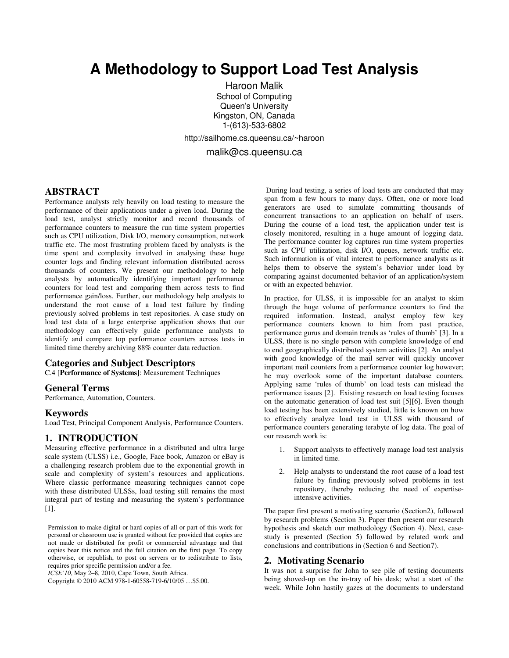# **A Methodology to Support Load Test Analysis**

Haroon Malik School of Computing Queen's University Kingston, ON, Canada 1-(613)-533-6802

http://sailhome.cs.queensu.ca/~haroon

malik@cs.queensu.ca

# **ABSTRACT**

Performance analysts rely heavily on load testing to measure the performance of their applications under a given load. During the load test, analyst strictly monitor and record thousands of performance counters to measure the run time system properties such as CPU utilization, Disk I/O, memory consumption, network traffic etc. The most frustrating problem faced by analysts is the time spent and complexity involved in analysing these huge counter logs and finding relevant information distributed across thousands of counters. We present our methodology to help analysts by automatically identifying important performance counters for load test and comparing them across tests to find performance gain/loss. Further, our methodology help analysts to understand the root cause of a load test failure by finding previously solved problems in test repositories. A case study on load test data of a large enterprise application shows that our methodology can effectively guide performance analysts to identify and compare top performance counters across tests in limited time thereby archiving 88% counter data reduction.

## **Categories and Subject Descriptors**

C.4 [**Performance of Systems]**: Measurement Techniques

#### **General Terms**

Performance, Automation, Counters.

#### **Keywords**

Load Test, Principal Component Analysis, Performance Counters.

## **1. INTRODUCTION**

Measuring effective performance in a distributed and ultra large scale system (ULSS) i.e., Google, Face book, Amazon or eBay is a challenging research problem due to the exponential growth in scale and complexity of system's resources and applications. Where classic performance measuring techniques cannot cope with these distributed ULSSs, load testing still remains the most integral part of testing and measuring the system's performance [1].

Permission to make digital or hard copies of all or part of this work for personal or classroom use is granted without fee provided that copies are not made or distributed for profit or commercial advantage and that copies bear this notice and the full citation on the first page. To copy otherwise, or republish, to post on servers or to redistribute to lists, requires prior specific permission and/or a fee.

*ICSE'10*, May 2–8, 2010, Cape Town, South Africa.

Copyright *©* 2010 ACM 978-1-60558-719-6/10/05 …\$5.00.

 During load testing, a series of load tests are conducted that may span from a few hours to many days. Often, one or more load generators are used to simulate committing thousands of concurrent transactions to an application on behalf of users. During the course of a load test, the application under test is closely monitored, resulting in a huge amount of logging data. The performance counter log captures run time system properties such as CPU utilization, disk I/O, queues, network traffic etc. Such information is of vital interest to performance analysts as it helps them to observe the system's behavior under load by comparing against documented behavior of an application/system or with an expected behavior.

In practice, for ULSS, it is impossible for an analyst to skim through the huge volume of performance counters to find the required information. Instead, analyst employ few key performance counters known to him from past practice, performance gurus and domain trends as 'rules of thumb' [3]. In a ULSS, there is no single person with complete knowledge of end to end geographically distributed system activities [2]. An analyst with good knowledge of the mail server will quickly uncover important mail counters from a performance counter log however; he may overlook some of the important database counters. Applying same 'rules of thumb' on load tests can mislead the performance issues [2]. Existing research on load testing focuses on the automatic generation of load test suit [5][6]. Even though load testing has been extensively studied, little is known on how to effectively analyze load test in ULSS with thousand of performance counters generating terabyte of log data. The goal of our research work is:

- 1. Support analysts to effectively manage load test analysis in limited time.
- 2. Help analysts to understand the root cause of a load test failure by finding previously solved problems in test repository, thereby reducing the need of expertiseintensive activities.

The paper first present a motivating scenario (Section2), followed by research problems (Section 3). Paper then present our research hypothesis and sketch our methodology (Section 4). Next, casestudy is presented (Section 5) followed by related work and conclusions and contributions in (Section 6 and Section7).

#### **2. Motivating Scenario**

It was not a surprise for John to see pile of testing documents being shoved-up on the in-tray of his desk; what a start of the week. While John hastily gazes at the documents to understand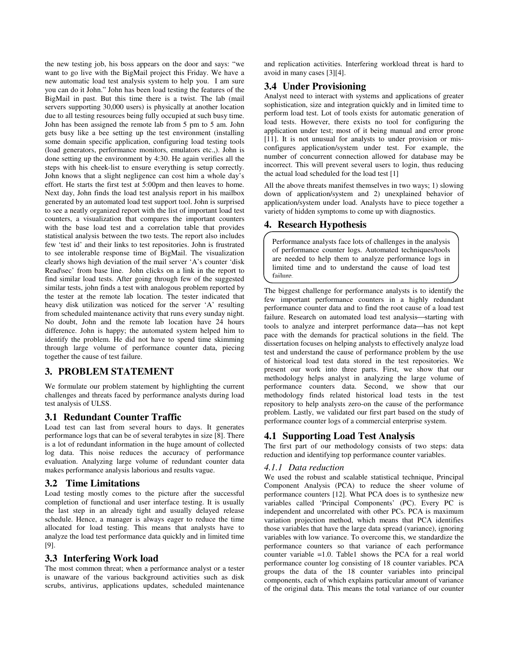the new testing job, his boss appears on the door and says: "we want to go live with the BigMail project this Friday. We have a new automatic load test analysis system to help you. I am sure you can do it John." John has been load testing the features of the BigMail in past. But this time there is a twist. The lab (mail servers supporting 30,000 users) is physically at another location due to all testing resources being fully occupied at such busy time. John has been assigned the remote lab from 5 pm to 5 am. John gets busy like a bee setting up the test environment (installing some domain specific application, configuring load testing tools (load generators, performance monitors, emulators etc.,). John is done setting up the environment by 4:30. He again verifies all the steps with his cheek-list to ensure everything is setup correctly. John knows that a slight negligence can cost him a whole day's effort. He starts the first test at 5:00pm and then leaves to home. Next day, John finds the load test analysis report in his mailbox generated by an automated load test support tool. John is surprised to see a neatly organized report with the list of important load test counters, a visualization that compares the important counters with the base load test and a correlation table that provides statistical analysis between the two tests. The report also includes few 'test id' and their links to test repositories. John is frustrated to see intolerable response time of BigMail. The visualization clearly shows high deviation of the mail server 'A's counter 'disk Read\sec' from base line. John clicks on a link in the report to find similar load tests. After going through few of the suggested similar tests, john finds a test with analogous problem reported by the tester at the remote lab location. The tester indicated that heavy disk utilization was noticed for the server 'A' resulting from scheduled maintenance activity that runs every sunday night. No doubt, John and the remote lab location have 24 hours difference. John is happy; the automated system helped him to identify the problem. He did not have to spend time skimming through large volume of performance counter data, piecing together the cause of test failure.

# **3. PROBLEM STATEMENT**

We formulate our problem statement by highlighting the current challenges and threats faced by performance analysts during load test analysis of ULSS.

# **3.1 Redundant Counter Traffic**

Load test can last from several hours to days. It generates performance logs that can be of several terabytes in size [8]. There is a lot of redundant information in the huge amount of collected log data. This noise reduces the accuracy of performance evaluation. Analyzing large volume of redundant counter data makes performance analysis laborious and results vague.

## **3.2 Time Limitations**

Load testing mostly comes to the picture after the successful completion of functional and user interface testing. It is usually the last step in an already tight and usually delayed release schedule. Hence, a manager is always eager to reduce the time allocated for load testing. This means that analysts have to analyze the load test performance data quickly and in limited time [9].

## **3.3 Interfering Work load**

The most common threat; when a performance analyst or a tester is unaware of the various background activities such as disk scrubs, antivirus, applications updates, scheduled maintenance

and replication activities. Interfering workload threat is hard to avoid in many cases [3][4].

# **3.4 Under Provisioning**

Analyst need to interact with systems and applications of greater sophistication, size and integration quickly and in limited time to perform load test. Lot of tools exists for automatic generation of load tests. However, there exists no tool for configuring the application under test; most of it being manual and error prone [11]. It is not unusual for analysts to under provision or misconfigures application/system under test. For example, the number of concurrent connection allowed for database may be incorrect. This will prevent several users to login, thus reducing the actual load scheduled for the load test [1]

All the above threats manifest themselves in two ways; 1) slowing down of application/system and 2) unexplained behavior of application/system under load. Analysts have to piece together a variety of hidden symptoms to come up with diagnostics.

# **4. Research Hypothesis**

Performance analysts face lots of challenges in the analysis of performance counter logs. Automated techniques/tools are needed to help them to analyze performance logs in limited time and to understand the cause of load test failure.

The biggest challenge for performance analysts is to identify the few important performance counters in a highly redundant performance counter data and to find the root cause of a load test failure. Research on automated load test analysis—starting with tools to analyze and interpret performance data—has not kept pace with the demands for practical solutions in the field. The dissertation focuses on helping analysts to effectively analyze load test and understand the cause of performance problem by the use of historical load test data stored in the test repositories. We present our work into three parts. First, we show that our methodology helps analyst in analyzing the large volume of performance counters data. Second, we show that our methodology finds related historical load tests in the test repository to help analysts zero-on the cause of the performance problem. Lastly, we validated our first part based on the study of performance counter logs of a commercial enterprise system.

# **4.1 Supporting Load Test Analysis**

The first part of our methodology consists of two steps: data reduction and identifying top performance counter variables.

## *4.1.1 Data reduction*

We used the robust and scalable statistical technique, Principal Component Analysis (PCA) to reduce the sheer volume of performance counters [12]. What PCA does is to synthesize new variables called 'Principal Components' (PC). Every PC is independent and uncorrelated with other PCs. PCA is maximum variation projection method, which means that PCA identifies those variables that have the large data spread (variance), ignoring variables with low variance. To overcome this, we standardize the performance counters so that variance of each performance counter variable =1.0. Table1 shows the PCA for a real world performance counter log consisting of 18 counter variables. PCA groups the data of the 18 counter variables into principal components, each of which explains particular amount of variance of the original data. This means the total variance of our counter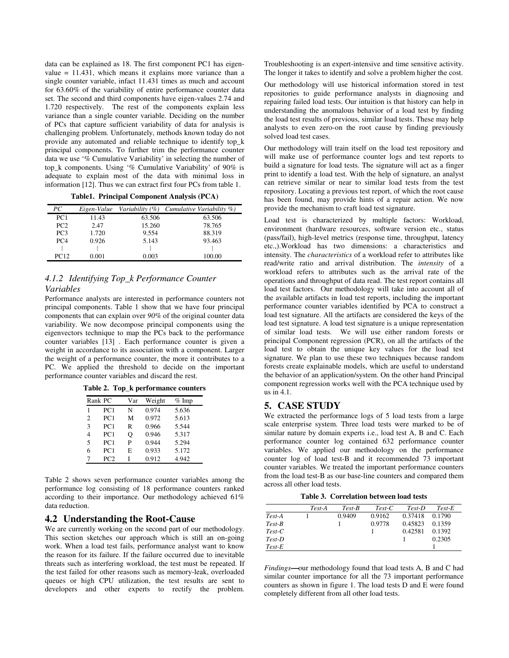data can be explained as 18. The first component PC1 has eigenvalue  $= 11.431$ , which means it explains more variance than a single counter variable, infact 11.431 times as much and account for 63.60% of the variability of entire performance counter data set. The second and third components have eigen-values 2.74 and 1.720 respectively. The rest of the components explain less variance than a single counter variable. Deciding on the number of PCs that capture sufficient variability of data for analysis is challenging problem. Unfortunately, methods known today do not provide any automated and reliable technique to identify top\_k principal components. To further trim the performance counter data we use '% Cumulative Variability' in selecting the number of top\_k components. Using '% Cumulative Variability' of 90% is adequate to explain most of the data with minimal loss in information [12]. Thus we can extract first four PCs from table 1.

|  |  | Table1. Principal Component Analysis (PCA) |  |  |
|--|--|--------------------------------------------|--|--|
|--|--|--------------------------------------------|--|--|

| РC              |       |        | Eigen-Value Variability $(\%)$ Cumulative Variability $\%)$ |
|-----------------|-------|--------|-------------------------------------------------------------|
| PC1             | 11.43 | 63.506 | 63.506                                                      |
| PC2             | 2.47  | 15.260 | 78.765                                                      |
| PC <sub>3</sub> | 1.720 | 9.554  | 88.319                                                      |
| PC <sub>4</sub> | 0.926 | 5.143  | 93.463                                                      |
|                 |       |        |                                                             |
| <b>PC12</b>     | 0.001 | 0.003  | 100.00                                                      |

## *4.1.2 Identifying Top\_k Performance Counter Variables*

Performance analysts are interested in performance counters not principal components. Table 1 show that we have four principal components that can explain over *90%* of the original counter data variability. We now decompose principal components using the eigenvectors technique to map the PCs back to the performance counter variables [13] . Each performance counter is given a weight in accordance to its association with a component. Larger the weight of a performance counter, the more it contributes to a PC. We applied the threshold to decide on the important performance counter variables and discard the rest.

|  |  | Table 2. Top_k performance counters |  |
|--|--|-------------------------------------|--|
|--|--|-------------------------------------|--|

|                | Rank PC | Var | Weight | $%$ Imp |
|----------------|---------|-----|--------|---------|
|                | PC1     | N   | 0.974  | 5.636   |
| $\overline{c}$ | PC1     | м   | 0.972  | 5.613   |
| 3              | PC1     | R   | 0.966  | 5.544   |
| 4              | PC1     | о   | 0.946  | 5.317   |
| 5              | PC1     | P   | 0.944  | 5.294   |
| 6              | PC1     | E   | 0.933  | 5.172   |
| 7              | PC2     | I   | 0.912  | 4.942   |

Table 2 shows seven performance counter variables among the performance log consisting of 18 performance counters ranked according to their importance. Our methodology achieved 61% data reduction.

#### **4.2 Understanding the Root-Cause**

We are currently working on the second part of our methodology. This section sketches our approach which is still an on-going work. When a load test fails, performance analyst want to know the reason for its failure. If the failure occurred due to inevitable threats such as interfering workload, the test must be repeated. If the test failed for other reasons such as memory-leak, overloaded queues or high CPU utilization, the test results are sent to developers and other experts to rectify the problem.

Troubleshooting is an expert-intensive and time sensitive activity. The longer it takes to identify and solve a problem higher the cost.

Our methodology will use historical information stored in test repositories to guide performance analysts in diagnosing and repairing failed load tests. Our intuition is that history can help in understanding the anomalous behavior of a load test by finding the load test results of previous, similar load tests. These may help analysts to even zero-on the root cause by finding previously solved load test cases.

Our methodology will train itself on the load test repository and will make use of performance counter logs and test reports to build a signature for load tests. The signature will act as a finger print to identify a load test. With the help of signature, an analyst can retrieve similar or near to similar load tests from the test repository. Locating a previous test report, of which the root cause has been found, may provide hints of a repair action. We now provide the mechanism to craft load test signature.

Load test is characterized by multiple factors: Workload, environment (hardware resources, software version etc., status (pass/fail), high-level metrics (response time, throughput, latency etc.,).Workload has two dimensions: a characteristics and intensity. The *characteristics* of a workload refer to attributes like read/write ratio and arrival distribution. The *intensity* of a workload refers to attributes such as the arrival rate of the operations and throughput of data read. The test report contains all load test factors. Our methodology will take into account all of the available artifacts in load test reports, including the important performance counter variables identified by PCA to construct a load test signature. All the artifacts are considered the keys of the load test signature. A load test signature is a unique representation of similar load tests. We will use either random forests or principal Component regression (PCR), on all the artifacts of the load test to obtain the unique key values for the load test signature. We plan to use these two techniques because random forests create explainable models, which are useful to understand the behavior of an application/system. On the other hand Principal component regression works well with the PCA technique used by us in 4.1.

## **5. CASE STUDY**

We extracted the performance logs of 5 load tests from a large scale enterprise system. Three load tests were marked to be of similar nature by domain experts i.e., load test A, B and C. Each performance counter log contained 632 performance counter variables. We applied our methodology on the performance counter log of load test-B and it recommended 73 important counter variables. We treated the important performance counters from the load test-B as our base-line counters and compared them across all other load tests.

|          | $Test-A$ | $Test-B$ | $Test-C$ | Test-D  | Test-E |
|----------|----------|----------|----------|---------|--------|
| Test-A   |          | 0.9409   | 0.9162   | 0.37418 | 0.1790 |
| $Test-B$ |          |          | 0.9778   | 0.45823 | 0.1359 |
| $Test-C$ |          |          |          | 0.42581 | 0.1392 |
| Test-D   |          |          |          |         | 0.2305 |
| $Test-E$ |          |          |          |         |        |

*Findings*—our methodology found that load tests A, B and C had similar counter importance for all the 73 important performance counters as shown in figure 1. The load tests D and E were found completely different from all other load tests.